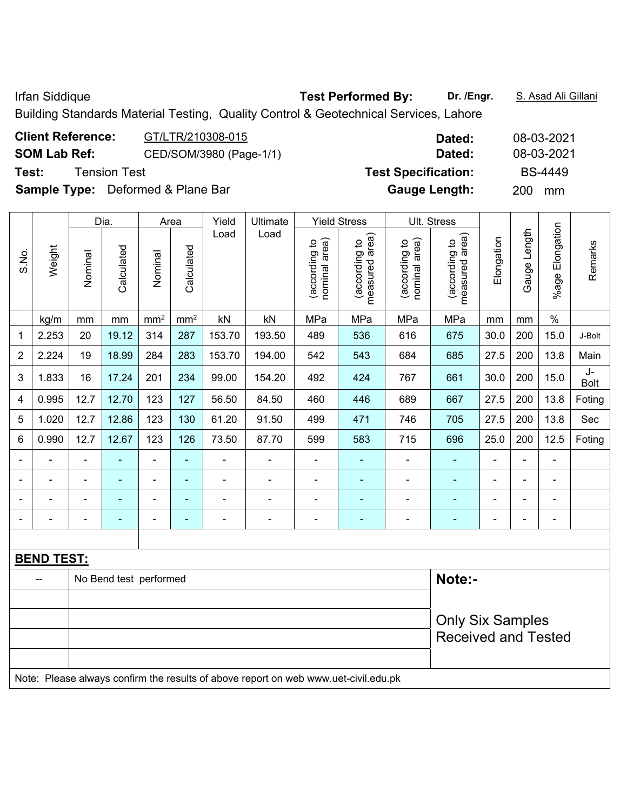Building Standards Material Testing, Quality Control & Geotechnical Services, Lahore

| <b>Client Reference:</b> | GT/LTR/210308-015                        | Dated:                     | 08-03-2021       |
|--------------------------|------------------------------------------|----------------------------|------------------|
| <b>SOM Lab Ref:</b>      | CED/SOM/3980 (Page-1/1)                  | Dated:                     | 08-03-2021       |
| Test:                    | <b>Tension Test</b>                      | <b>Test Specification:</b> | <b>BS-4449</b>   |
|                          | <b>Sample Type:</b> Deformed & Plane Bar | <b>Gauge Length:</b>       | <b>200</b><br>mm |

|                |                   |                | Dia.                   |                 | Area            | Yield          | Ultimate                                                                            |                                | <b>Yield Stress</b>             |                                | Ult. Stress                                           |                |                |                      |                   |
|----------------|-------------------|----------------|------------------------|-----------------|-----------------|----------------|-------------------------------------------------------------------------------------|--------------------------------|---------------------------------|--------------------------------|-------------------------------------------------------|----------------|----------------|----------------------|-------------------|
| S.No.          | Weight            | Nominal        | Calculated             | Nominal         | Calculated      | Load           | Load                                                                                | nominal area)<br>(according to | measured area)<br>(according to | nominal area)<br>(according to | (according to<br>measured area)<br>measured           | Elongation     | Gauge Length   | Elongation<br>%age l | Remarks           |
|                | kg/m              | mm             | mm                     | mm <sup>2</sup> | mm <sup>2</sup> | kN             | kN                                                                                  | MPa                            | MPa                             | MPa                            | MPa                                                   | mm             | mm             | $\%$                 |                   |
| 1              | 2.253             | 20             | 19.12                  | 314             | 287             | 153.70         | 193.50                                                                              | 489                            | 536                             | 616                            | 675                                                   | 30.0           | 200            | 15.0                 | J-Bolt            |
| $\overline{2}$ | 2.224             | 19             | 18.99                  | 284             | 283             | 153.70         | 194.00                                                                              | 542                            | 543                             | 684                            | 685                                                   | 27.5           | 200            | 13.8                 | Main              |
| 3              | 1.833             | 16             | 17.24                  | 201             | 234             | 99.00          | 154.20                                                                              | 492                            | 424                             | 767                            | 661                                                   | 30.0           | 200            | 15.0                 | J-<br><b>Bolt</b> |
| 4              | 0.995             | 12.7           | 12.70                  | 123             | 127             | 56.50          | 84.50                                                                               | 460                            | 446                             | 689                            | 667                                                   | 27.5           | 200            | 13.8                 | Foting            |
| 5              | 1.020             | 12.7           | 12.86                  | 123             | 130             | 61.20          | 91.50                                                                               | 499                            | 471                             | 746                            | 705                                                   | 27.5           | 200            | 13.8                 | Sec               |
| 6              | 0.990             | 12.7           | 12.67                  | 123             | 126             | 73.50          | 87.70                                                                               | 599                            | 583                             | 715                            | 696                                                   | 25.0           | 200            | 12.5                 | Foting            |
|                |                   | $\blacksquare$ | ä,                     | $\frac{1}{2}$   | ÷,              | ÷,             | $\overline{a}$                                                                      | $\blacksquare$                 | ٠                               | $\blacksquare$                 | ÷                                                     | ä,             | ä,             | L,                   |                   |
|                |                   | ۰              |                        | $\blacksquare$  | $\blacksquare$  | $\blacksquare$ | ÷                                                                                   | $\blacksquare$                 | ٠                               | $\blacksquare$                 | $\blacksquare$                                        | Ē,             | ä,             | $\blacksquare$       |                   |
|                |                   |                |                        |                 |                 |                |                                                                                     |                                |                                 | ۰                              |                                                       | $\blacksquare$ | $\blacksquare$ | $\blacksquare$       |                   |
| ۰              | $\blacksquare$    | ۰              | $\blacksquare$         | $\blacksquare$  | ٠               | ۰              | $\blacksquare$                                                                      | $\blacksquare$                 | ۰                               | $\overline{a}$                 | $\blacksquare$                                        | $\overline{a}$ | $\blacksquare$ | $\blacksquare$       |                   |
|                |                   |                |                        |                 |                 |                |                                                                                     |                                |                                 |                                |                                                       |                |                |                      |                   |
|                | <b>BEND TEST:</b> |                |                        |                 |                 |                |                                                                                     |                                |                                 |                                |                                                       |                |                |                      |                   |
|                | $-$               |                | No Bend test performed |                 |                 |                |                                                                                     |                                |                                 |                                | Note:-                                                |                |                |                      |                   |
|                |                   |                |                        |                 |                 |                |                                                                                     |                                |                                 |                                |                                                       |                |                |                      |                   |
|                |                   |                |                        |                 |                 |                |                                                                                     |                                |                                 |                                | <b>Only Six Samples</b><br><b>Received and Tested</b> |                |                |                      |                   |
|                |                   |                |                        |                 |                 |                | Note: Please always confirm the results of above report on web www.uet-civil.edu.pk |                                |                                 |                                |                                                       |                |                |                      |                   |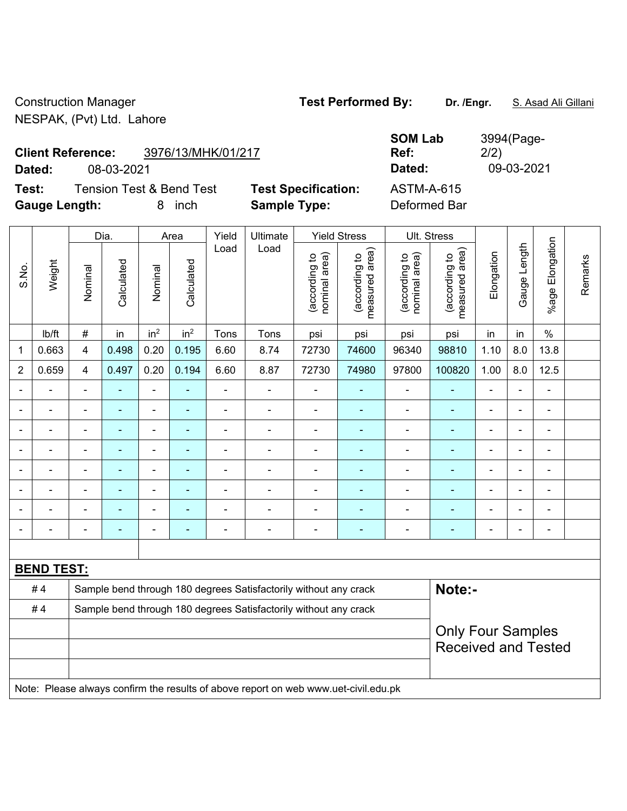Construction Manager **Test Performed By: Dr. /Engr.** S. Asad Ali Gillani NESPAK, (Pvt) Ltd. Lahore

**Client Reference:** 3976/13/MHK/01/217

**Test:** Tension Test & Bend Test **Test Specification:** ASTM-A-615 **Gauge Length:** 8 inch **Sample Type:** Deformed Bar

Dia. | Area | Yield | Ultimate | Yield Stress | Ult. Stress

**SOM Lab Ref:**  3994(Page-2/2) **Dated:** 08-03-2021 **Dated:** 09-03-2021

|       |                   |                                                                  | Dia.                     |                          | Area                     | Yield          | Ultimate                                                                            |                               | Yield Stress                    |                                | UII. Stress                     |                              |                |                      |         |
|-------|-------------------|------------------------------------------------------------------|--------------------------|--------------------------|--------------------------|----------------|-------------------------------------------------------------------------------------|-------------------------------|---------------------------------|--------------------------------|---------------------------------|------------------------------|----------------|----------------------|---------|
| S.No. | Weight            | Nominal                                                          | Calculated               | Nominal                  | Calculated               | Load           | Load                                                                                | nominal area)<br>according to | measured area)<br>(according to | (according to<br>nominal area) | measured area)<br>(according to | Elongation                   | Gauge Length   | Elongation<br>$%age$ | Remarks |
|       | lb/ft             | #                                                                | in                       | in <sup>2</sup>          | in <sup>2</sup>          | Tons           | Tons                                                                                | psi                           | psi                             | psi                            | psi                             | in                           | in             | $\%$                 |         |
| 1     | 0.663             | 4                                                                | 0.498                    | 0.20                     | 0.195                    | 6.60           | 8.74                                                                                | 72730                         | 74600                           | 96340                          | 98810                           | 1.10                         | 8.0            | 13.8                 |         |
| 2     | 0.659             | 4                                                                | 0.497                    | 0.20                     | 0.194                    | 6.60           | 8.87                                                                                | 72730                         | 74980                           | 97800                          | 100820                          | 1.00                         | 8.0            | 12.5                 |         |
|       |                   | $\blacksquare$                                                   | $\blacksquare$           | $\blacksquare$           | ٠                        | $\blacksquare$ | $\blacksquare$                                                                      | $\blacksquare$                | $\blacksquare$                  | $\blacksquare$                 |                                 | $\blacksquare$               | ÷              | $\blacksquare$       |         |
|       | ۰                 | $\blacksquare$                                                   | $\blacksquare$           | $\blacksquare$           | $\blacksquare$           | $\blacksquare$ | $\blacksquare$                                                                      | $\blacksquare$                | $\blacksquare$                  | $\blacksquare$                 | $\blacksquare$                  | ÷,                           | $\blacksquare$ | $\blacksquare$       |         |
|       |                   | $\blacksquare$                                                   | ÷,                       | $\blacksquare$           | ٠                        | $\blacksquare$ | Ē,                                                                                  | Ē,                            |                                 | $\blacksquare$                 |                                 | $\blacksquare$               | ÷              | $\blacksquare$       |         |
|       |                   |                                                                  | $\overline{\phantom{0}}$ | $\blacksquare$           |                          |                | ÷                                                                                   | $\blacksquare$                |                                 |                                |                                 | $\blacksquare$               |                |                      |         |
|       |                   | $\blacksquare$                                                   | ۰                        | $\overline{\phantom{a}}$ |                          |                | $\overline{\phantom{0}}$                                                            | ٠                             | $\overline{\phantom{0}}$        |                                |                                 | $\qquad \qquad \blacksquare$ |                | $\blacksquare$       |         |
|       |                   | $\blacksquare$                                                   | $\blacksquare$           | $\blacksquare$           | $\blacksquare$           | $\blacksquare$ | $\blacksquare$                                                                      | $\blacksquare$                | ٠                               | $\blacksquare$                 | $\overline{\phantom{0}}$        | $\blacksquare$               | ä,             | $\blacksquare$       |         |
|       |                   | $\blacksquare$                                                   | $\blacksquare$           | $\blacksquare$           | $\overline{\phantom{0}}$ | $\blacksquare$ | $\blacksquare$                                                                      | $\blacksquare$                | ٠                               | $\blacksquare$                 | $\blacksquare$                  | $\blacksquare$               | ÷              | $\blacksquare$       |         |
|       |                   | $\blacksquare$                                                   | $\blacksquare$           | $\blacksquare$           | $\overline{\phantom{0}}$ |                | ÷                                                                                   | Ē,                            | $\blacksquare$                  | $\blacksquare$                 | $\overline{\phantom{a}}$        | ÷                            |                | $\blacksquare$       |         |
|       |                   |                                                                  |                          |                          |                          |                |                                                                                     |                               |                                 |                                |                                 |                              |                |                      |         |
|       | <b>BEND TEST:</b> |                                                                  |                          |                          |                          |                |                                                                                     |                               |                                 |                                |                                 |                              |                |                      |         |
|       | #4                |                                                                  |                          |                          |                          |                | Sample bend through 180 degrees Satisfactorily without any crack                    |                               |                                 |                                | Note:-                          |                              |                |                      |         |
|       | #4                | Sample bend through 180 degrees Satisfactorily without any crack |                          |                          |                          |                |                                                                                     |                               |                                 |                                |                                 |                              |                |                      |         |
|       |                   |                                                                  |                          |                          |                          |                |                                                                                     |                               |                                 |                                | <b>Only Four Samples</b>        |                              |                |                      |         |
|       |                   |                                                                  |                          |                          |                          |                |                                                                                     |                               |                                 |                                | <b>Received and Tested</b>      |                              |                |                      |         |
|       |                   |                                                                  |                          |                          |                          |                |                                                                                     |                               |                                 |                                |                                 |                              |                |                      |         |
|       |                   |                                                                  |                          |                          |                          |                | Note: Please always confirm the results of above report on web www.uet-civil.edu.pk |                               |                                 |                                |                                 |                              |                |                      |         |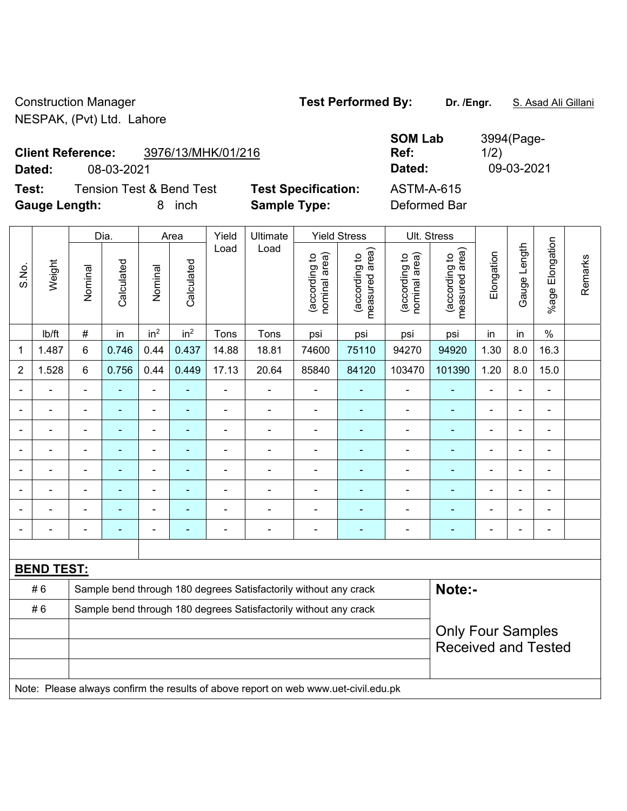Construction Manager **Test Performed By:** Dr. /Engr. **S. Asad Ali Gillani** NESPAK, (Pvt) Ltd. Lahore

Γ

**Test:** Tension Test & Bend Test **Test Specification: Gauge Length:** 8 inch **Sample Type:** Deformed Bar

|        | <b>Client Reference:</b> | 3976/13/MHK/01/216                  |                            | <b>SOM Lab</b><br>Ref: | 3994 (Page-<br>1/2) |
|--------|--------------------------|-------------------------------------|----------------------------|------------------------|---------------------|
| Dated: | 08-03-2021               |                                     |                            | Dated:                 | 09-03-2021          |
| Test:  |                          | <b>Tension Test &amp; Bend Test</b> | <b>Test Specification:</b> | ASTM-A-615             |                     |

|                |                          |                                                                  | Dia.       |                          | Area            | Yield          | Ultimate                                                                            |                                | <b>Yield Stress</b>             | Ult. Stress                    |                                 |                |                |                              |         |
|----------------|--------------------------|------------------------------------------------------------------|------------|--------------------------|-----------------|----------------|-------------------------------------------------------------------------------------|--------------------------------|---------------------------------|--------------------------------|---------------------------------|----------------|----------------|------------------------------|---------|
| S.No.          | Weight                   | Nominal                                                          | Calculated | Nominal                  | Calculated      | Load           | Load                                                                                | nominal area)<br>(according to | (according to<br>measured area) | (according to<br>nominal area) | (according to<br>measured area) | Elongation     | Gauge Length   | Elongation<br>$%$ age        | Remarks |
|                | lb/ft                    | $\#$                                                             | in         | in <sup>2</sup>          | in <sup>2</sup> | Tons           | Tons                                                                                | psi                            | psi                             | psi                            | psi                             | in             | in             | $\%$                         |         |
| $\mathbf 1$    | 1.487                    | 6                                                                | 0.746      | 0.44                     | 0.437           | 14.88          | 18.81                                                                               | 74600                          | 75110                           | 94270                          | 94920                           | 1.30           | 8.0            | 16.3                         |         |
| $\overline{2}$ | 1.528                    | 6                                                                | 0.756      | 0.44                     | 0.449           | 17.13          | 20.64                                                                               | 85840                          | 84120                           | 103470                         | 101390                          | 1.20           | 8.0            | 15.0                         |         |
| $\blacksquare$ | $\overline{\phantom{0}}$ | ä,                                                               | ÷,         | $\blacksquare$           | ä,              | $\blacksquare$ | $\blacksquare$                                                                      | $\blacksquare$                 | $\overline{a}$                  | $\blacksquare$                 | Ξ                               | ä,             | $\blacksquare$ | $\blacksquare$               |         |
| ÷              |                          | $\overline{a}$                                                   | ÷,         | $\blacksquare$           | ٠               | $\blacksquare$ | $\blacksquare$                                                                      | $\blacksquare$                 | $\blacksquare$                  | $\blacksquare$                 | $\blacksquare$                  | ÷              |                | $\qquad \qquad \blacksquare$ |         |
| ä,             | ÷                        | $\blacksquare$                                                   | ä,         | $\blacksquare$           | ÷               | ÷              | $\blacksquare$                                                                      | ä,                             | $\blacksquare$                  | $\blacksquare$                 | ٠                               | ä,             |                | $\blacksquare$               |         |
| $\blacksquare$ |                          | ä,                                                               | ä,         | $\overline{\phantom{0}}$ | ٠               | $\blacksquare$ | ÷                                                                                   | $\blacksquare$                 | ÷                               | $\blacksquare$                 | ÷                               | ä,             |                | $\blacksquare$               |         |
|                |                          |                                                                  |            | ۰                        |                 |                | $\blacksquare$                                                                      |                                |                                 | Ē,                             | ۰                               | $\blacksquare$ |                |                              |         |
| $\blacksquare$ |                          | ä,                                                               |            | $\blacksquare$           |                 |                | $\blacksquare$                                                                      |                                |                                 | Ē,                             | ä,                              | Ē,             |                | ä,                           |         |
| $\blacksquare$ |                          | ä,                                                               |            | ÷,                       | ÷               |                | ÷                                                                                   |                                | ÷                               | Ē,                             | ÷                               | Ē,             |                | $\overline{\phantom{a}}$     |         |
| $\overline{a}$ |                          |                                                                  |            | ÷                        | ۰               |                | $\overline{\phantom{a}}$                                                            | $\blacksquare$                 | ÷                               | $\blacksquare$                 | ۰                               | ÷              |                | $\qquad \qquad \blacksquare$ |         |
|                |                          |                                                                  |            |                          |                 |                |                                                                                     |                                |                                 |                                |                                 |                |                |                              |         |
|                | <b>BEND TEST:</b>        |                                                                  |            |                          |                 |                |                                                                                     |                                |                                 |                                |                                 |                |                |                              |         |
|                | #6                       |                                                                  |            |                          |                 |                | Sample bend through 180 degrees Satisfactorily without any crack                    |                                |                                 |                                | Note:-                          |                |                |                              |         |
|                | #6                       | Sample bend through 180 degrees Satisfactorily without any crack |            |                          |                 |                |                                                                                     |                                |                                 |                                |                                 |                |                |                              |         |
|                |                          | <b>Only Four Samples</b>                                         |            |                          |                 |                |                                                                                     |                                |                                 |                                |                                 |                |                |                              |         |
|                |                          |                                                                  |            |                          |                 |                |                                                                                     |                                |                                 |                                | <b>Received and Tested</b>      |                |                |                              |         |
|                |                          |                                                                  |            |                          |                 |                |                                                                                     |                                |                                 |                                |                                 |                |                |                              |         |
|                |                          |                                                                  |            |                          |                 |                | Note: Please always confirm the results of above report on web www.uet-civil.edu.pk |                                |                                 |                                |                                 |                |                |                              |         |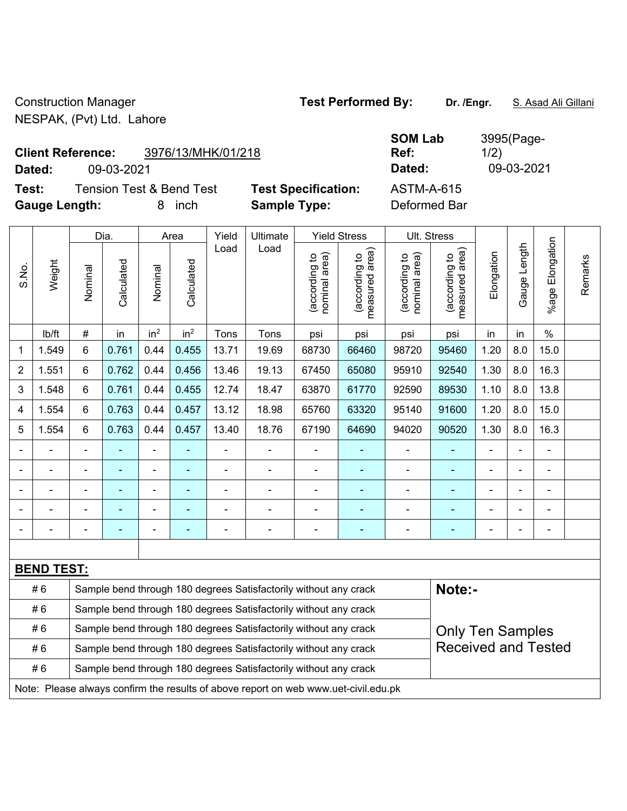Construction Manager **Test Performed By:** Dr. /Engr. **S. Asad Ali Gillani** NESPAK, (Pvt) Ltd. Lahore

# **Client Reference:** 3976/13/MHK/01/218

**Test:** Tension Test & Bend Test Test Specification: **Gauge Length:** 8 inch **Sample Type:** Deformed Bar

|        | <b>Client Reference:</b><br>3976/13/MHK/01/218 |                            | <b>SOM Lab</b><br>Ref: | 3995(Page-<br>1/2) |
|--------|------------------------------------------------|----------------------------|------------------------|--------------------|
| Dated: | 09-03-2021                                     |                            | Dated:                 | 09-03-2021         |
| Test:  | Tension Test & Bend Test                       | <b>Test Specification:</b> | ASTM-A-615             |                    |

|                |                   |                | Dia.           |                                                                                                | Area                     | Yield          | Ultimate                                                         |                                | <b>Yield Stress</b>             |                                | Ult. Stress                     |                |                |                       |         |
|----------------|-------------------|----------------|----------------|------------------------------------------------------------------------------------------------|--------------------------|----------------|------------------------------------------------------------------|--------------------------------|---------------------------------|--------------------------------|---------------------------------|----------------|----------------|-----------------------|---------|
| S.No.          | Weight            | Nominal        | Calculated     | Nominal                                                                                        | Calculated               | Load           | Load                                                             | nominal area)<br>(according to | (according to<br>measured area) | nominal area)<br>(according to | (according to<br>measured area) | Elongation     | Gauge Length   | Elongation<br>$%$ age | Remarks |
|                | lb/ft             | $\#$           | in             | in <sup>2</sup>                                                                                | in <sup>2</sup>          | Tons           | Tons                                                             | psi                            | psi                             | psi                            | psi                             | in             | in             | $\%$                  |         |
| 1              | 1.549             | 6              | 0.761          | 0.44                                                                                           | 0.455                    | 13.71          | 19.69                                                            | 68730                          | 66460                           | 98720                          | 95460                           | 1.20           | 8.0            | 15.0                  |         |
| 2              | 1.551             | 6              | 0.762          | 0.44                                                                                           | 0.456                    | 13.46          | 19.13                                                            | 67450                          | 65080                           | 95910                          | 92540                           | 1.30           | 8.0            | 16.3                  |         |
| 3              | 1.548             | 6              | 0.761          | 0.44                                                                                           | 0.455                    | 12.74          | 18.47                                                            | 63870                          | 61770                           | 92590                          | 89530                           | 1.10           | 8.0            | 13.8                  |         |
| 4              | 1.554             | 6              | 0.763          | 0.44                                                                                           | 0.457                    | 13.12          | 18.98                                                            | 65760                          | 63320                           | 95140                          | 91600                           | 1.20           | 8.0            | 15.0                  |         |
| 5              | 1.554             | 6              | 0.763          | 0.44                                                                                           | 0.457                    | 13.40          | 18.76                                                            | 67190                          | 64690                           | 94020                          | 90520                           | 1.30           | 8.0            | 16.3                  |         |
| $\blacksquare$ |                   | $\blacksquare$ | $\blacksquare$ | $\blacksquare$                                                                                 |                          | $\blacksquare$ | $\blacksquare$                                                   | $\blacksquare$                 |                                 | $\overline{a}$                 | $\blacksquare$                  | $\blacksquare$ | $\blacksquare$ | ÷                     |         |
|                |                   |                | $\blacksquare$ | ä,                                                                                             |                          | $\blacksquare$ | ä,                                                               | ä,                             |                                 |                                |                                 |                |                |                       |         |
|                |                   |                |                | ÷                                                                                              |                          |                |                                                                  | $\blacksquare$                 |                                 | ä,                             |                                 |                |                |                       |         |
|                |                   |                |                | ÷                                                                                              |                          |                |                                                                  | $\blacksquare$                 |                                 |                                |                                 |                |                | $\blacksquare$        |         |
| $\blacksquare$ |                   | Ē,             | $\blacksquare$ | ÷,                                                                                             | $\overline{\phantom{a}}$ | $\blacksquare$ | $\blacksquare$                                                   | ä,                             |                                 | Ē,                             | $\blacksquare$                  | $\blacksquare$ |                | $\blacksquare$        |         |
|                |                   |                |                |                                                                                                |                          |                |                                                                  |                                |                                 |                                |                                 |                |                |                       |         |
|                | <b>BEND TEST:</b> |                |                |                                                                                                |                          |                |                                                                  |                                |                                 |                                |                                 |                |                |                       |         |
|                | #6                |                |                |                                                                                                |                          |                | Sample bend through 180 degrees Satisfactorily without any crack |                                |                                 |                                | Note:-                          |                |                |                       |         |
|                | #6                |                |                | Sample bend through 180 degrees Satisfactorily without any crack                               |                          |                |                                                                  |                                |                                 |                                |                                 |                |                |                       |         |
|                | #6                |                |                | Sample bend through 180 degrees Satisfactorily without any crack<br><b>Only Ten Samples</b>    |                          |                |                                                                  |                                |                                 |                                |                                 |                |                |                       |         |
|                | #6                |                |                | <b>Received and Tested</b><br>Sample bend through 180 degrees Satisfactorily without any crack |                          |                |                                                                  |                                |                                 |                                |                                 |                |                |                       |         |
|                | #6                |                |                |                                                                                                |                          |                | Sample bend through 180 degrees Satisfactorily without any crack |                                |                                 |                                |                                 |                |                |                       |         |
|                |                   |                |                |                                                                                                |                          |                |                                                                  |                                |                                 |                                |                                 |                |                |                       |         |

Note: Please always confirm the results of above report on web www.uet-civil.edu.pk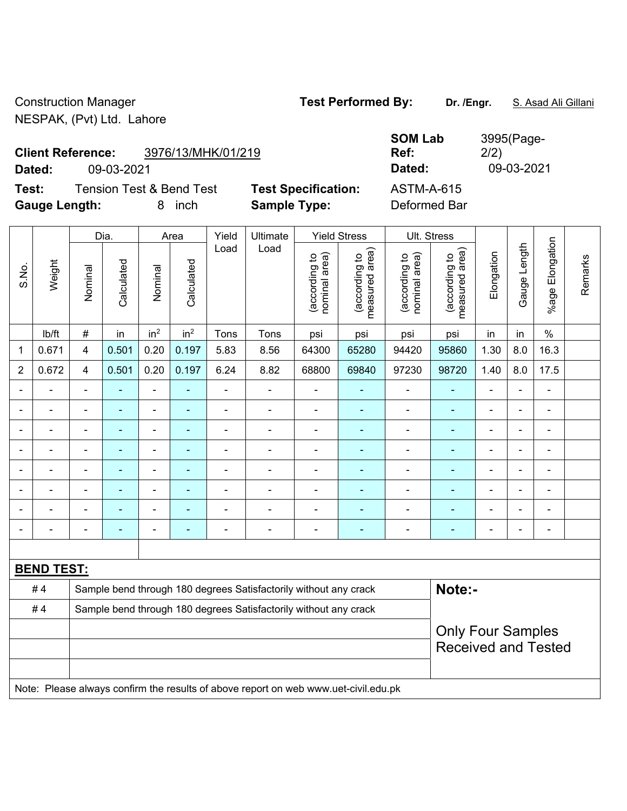Construction Manager **Test Performed By: Dr. /Engr.** S. Asad Ali Gillani NESPAK, (Pvt) Ltd. Lahore

**Client Reference:** 3976/13/MHK/01/219

**Test:** Tension Test & Bend Test **Test Specification:** ASTM-A-615 **Gauge Length:** 8 inch **Sample Type:** Deformed Bar

**SOM Lab Ref:**  3995(Page-2/2) **Dated:** 09-03-2021 **Dated:** 09-03-2021

|                |                   |                            | Dia.           |                          | Area                     | Yield          | Ultimate                                                                            |                                | <b>Yield Stress</b>             |                                | Ult. Stress                     |                |                |                          |         |
|----------------|-------------------|----------------------------|----------------|--------------------------|--------------------------|----------------|-------------------------------------------------------------------------------------|--------------------------------|---------------------------------|--------------------------------|---------------------------------|----------------|----------------|--------------------------|---------|
| S.No.          | Weight            | Nominal                    | Calculated     | Nominal                  | Calculated               | Load           | Load                                                                                | nominal area)<br>(according to | (according to<br>measured area) | (according to<br>nominal area) | (according to<br>measured area) | Elongation     | Gauge Length   | Elongation<br>$%$ age    | Remarks |
|                | lb/ft             | #                          | in             | in <sup>2</sup>          | in <sup>2</sup>          | Tons           | Tons                                                                                | psi                            | psi                             | psi                            | psi                             | in             | in             | $\%$                     |         |
| $\mathbf{1}$   | 0.671             | 4                          | 0.501          | 0.20                     | 0.197                    | 5.83           | 8.56                                                                                | 64300                          | 65280                           | 94420                          | 95860                           | 1.30           | 8.0            | 16.3                     |         |
| $\overline{2}$ | 0.672             | $\overline{4}$             | 0.501          | 0.20                     | 0.197                    | 6.24           | 8.82                                                                                | 68800                          | 69840                           | 97230                          | 98720                           | 1.40           | 8.0            | 17.5                     |         |
|                |                   | $\overline{a}$             | ä,             | $\blacksquare$           |                          | ÷              | ä,                                                                                  | $\blacksquare$                 | $\blacksquare$                  | $\blacksquare$                 | ä,                              | $\blacksquare$ | $\blacksquare$ | $\blacksquare$           |         |
|                |                   | $\blacksquare$             | $\blacksquare$ | $\blacksquare$           | $\blacksquare$           | $\blacksquare$ | ä,                                                                                  | $\blacksquare$                 | $\blacksquare$                  | $\overline{\phantom{a}}$       | $\blacksquare$                  | $\blacksquare$ | $\blacksquare$ | $\blacksquare$           |         |
| $\blacksquare$ |                   | $\overline{\phantom{a}}$   | ÷              | $\blacksquare$           | $\overline{\phantom{a}}$ | $\blacksquare$ | ÷                                                                                   | $\overline{\phantom{a}}$       | $\blacksquare$                  | $\blacksquare$                 | $\blacksquare$                  | $\blacksquare$ | $\blacksquare$ | $\blacksquare$           |         |
|                |                   | ä,                         | $\blacksquare$ | $\blacksquare$           | $\overline{\phantom{a}}$ | ÷,             | ä,                                                                                  | ä,                             | ۰                               | $\blacksquare$                 | $\blacksquare$                  | $\blacksquare$ |                | $\blacksquare$           |         |
|                |                   | $\overline{\phantom{a}}$   | ä,             | $\overline{a}$           | $\blacksquare$           | ÷              | L,                                                                                  | L.                             | $\blacksquare$                  | $\blacksquare$                 | $\sim$                          | $\blacksquare$ |                |                          |         |
|                |                   | $\overline{\phantom{a}}$   |                | $\blacksquare$           |                          | $\blacksquare$ | $\blacksquare$                                                                      | $\blacksquare$                 |                                 | Ē,                             |                                 | $\blacksquare$ |                | $\blacksquare$           |         |
|                |                   | $\blacksquare$             | $\blacksquare$ | $\blacksquare$           |                          |                | $\blacksquare$                                                                      | $\overline{a}$                 | ۰                               | Ē,                             | $\blacksquare$                  | $\blacksquare$ |                | $\blacksquare$           |         |
|                |                   | $\overline{\phantom{0}}$   | ٠              | $\overline{\phantom{0}}$ | $\blacksquare$           | -              | $\blacksquare$                                                                      | $\overline{a}$                 | ۰                               | $\blacksquare$                 | $\blacksquare$                  | $\overline{a}$ | -              | $\overline{\phantom{a}}$ |         |
|                |                   |                            |                |                          |                          |                |                                                                                     |                                |                                 |                                |                                 |                |                |                          |         |
|                | <b>BEND TEST:</b> |                            |                |                          |                          |                |                                                                                     |                                |                                 |                                |                                 |                |                |                          |         |
|                | #4                |                            |                |                          |                          |                | Sample bend through 180 degrees Satisfactorily without any crack                    |                                |                                 |                                | Note:-                          |                |                |                          |         |
|                | #4                |                            |                |                          |                          |                | Sample bend through 180 degrees Satisfactorily without any crack                    |                                |                                 |                                |                                 |                |                |                          |         |
|                |                   |                            |                |                          |                          |                |                                                                                     |                                |                                 |                                | <b>Only Four Samples</b>        |                |                |                          |         |
|                |                   | <b>Received and Tested</b> |                |                          |                          |                |                                                                                     |                                |                                 |                                |                                 |                |                |                          |         |
|                |                   |                            |                |                          |                          |                |                                                                                     |                                |                                 |                                |                                 |                |                |                          |         |
|                |                   |                            |                |                          |                          |                | Note: Please always confirm the results of above report on web www.uet-civil.edu.pk |                                |                                 |                                |                                 |                |                |                          |         |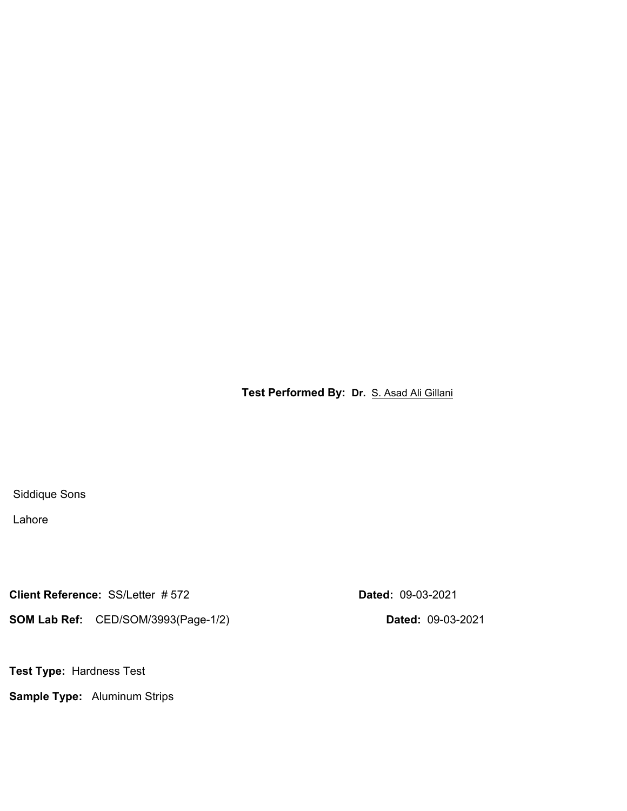**Test Performed By: Dr.** S. Asad Ali Gillani

Siddique Sons

Lahore

**Client Reference:** SS/Letter # 572 **Dated:** 09-03-2021

**SOM Lab Ref:** CED/SOM/3993(Page-1/2) **Dated:** 09-03-2021

**Test Type:** Hardness Test

**Sample Type:** Aluminum Strips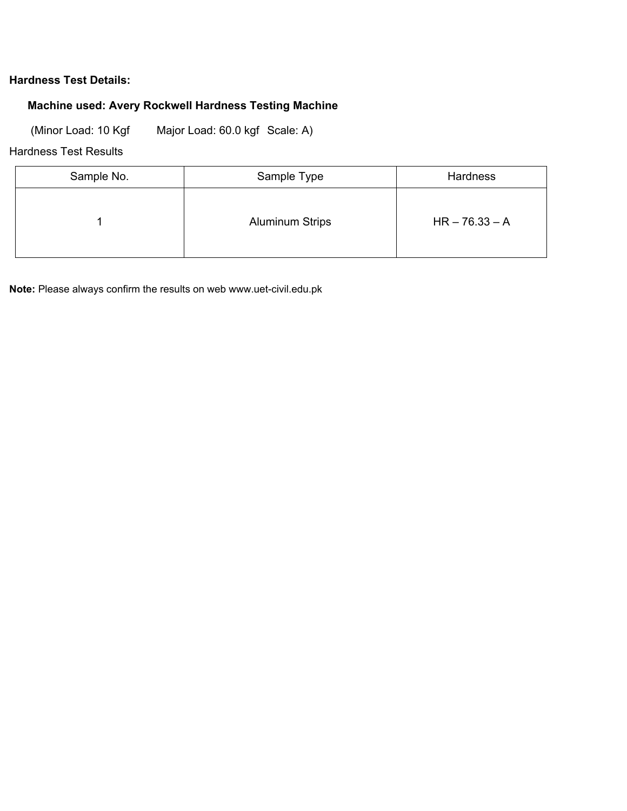### **Hardness Test Details:**

### **Machine used: Avery Rockwell Hardness Testing Machine**

(Minor Load: 10 Kgf Major Load: 60.0 kgf Scale: A)

### Hardness Test Results

| Sample No. | Sample Type            | Hardness         |
|------------|------------------------|------------------|
|            | <b>Aluminum Strips</b> | $HR - 76.33 - A$ |

**Note:** Please always confirm the results on web www.uet-civil.edu.pk